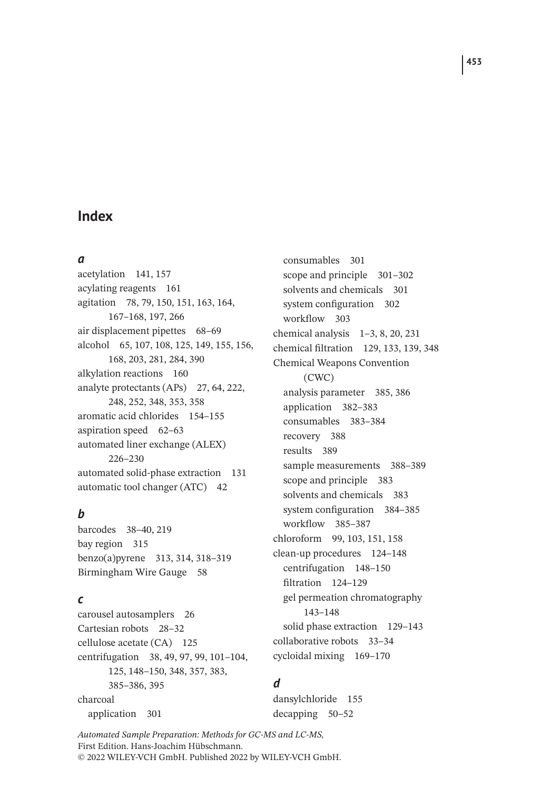## **Index**

#### *a*

acetylation 141, 157 acylating reagents 161 agitation 78, 79, 150, 151, 163, 164, 167–168, 197, 266 air displacement pipettes 68–69 alcohol 65, 107, 108, 125, 149, 155, 156, 168, 203, 281, 284, 390 alkylation reactions 160 analyte protectants (APs) 27, 64, 222, 248, 252, 348, 353, 358 aromatic acid chlorides 154–155 aspiration speed 62–63 automated liner exchange (ALEX) 226–230 automated solid-phase extraction 131 automatic tool changer (ATC) 42

## *b*

barcodes 38–40, 219 bay region 315 benzo(a)pyrene 313, 314, 318–319 Birmingham Wire Gauge 58

### *c*

carousel autosamplers 26 Cartesian robots 28–32 cellulose acetate (CA) 125 centrifugation 38, 49, 97, 99, 101–104, 125, 148–150, 348, 357, 383, 385–386, 395 charcoal application 301

consumables 301 scope and principle 301–302 solvents and chemicals 301 system configuration 302 workflow 303 chemical analysis 1–3, 8, 20, 231 chemical filtration 129, 133, 139, 348 Chemical Weapons Convention (CWC) analysis parameter 385, 386 application 382–383 consumables 383–384 recovery 388 results 389 sample measurements 388–389 scope and principle 383 solvents and chemicals 383 system configuration 384–385 workflow 385–387 chloroform 99, 103, 151, 158 clean-up procedures 124–148 centrifugation 148–150 filtration 124–129 gel permeation chromatography 143–148 solid phase extraction 129–143 collaborative robots 33–34 cycloidal mixing 169–170

## *d*

dansylchloride 155 decapping 50–52

*Automated Sample Preparation: Methods for GC-MS and LC-MS,* First Edition. Hans-Joachim Hübschmann. © 2022 WILEY-VCH GmbH. Published 2022 by WILEY-VCH GmbH.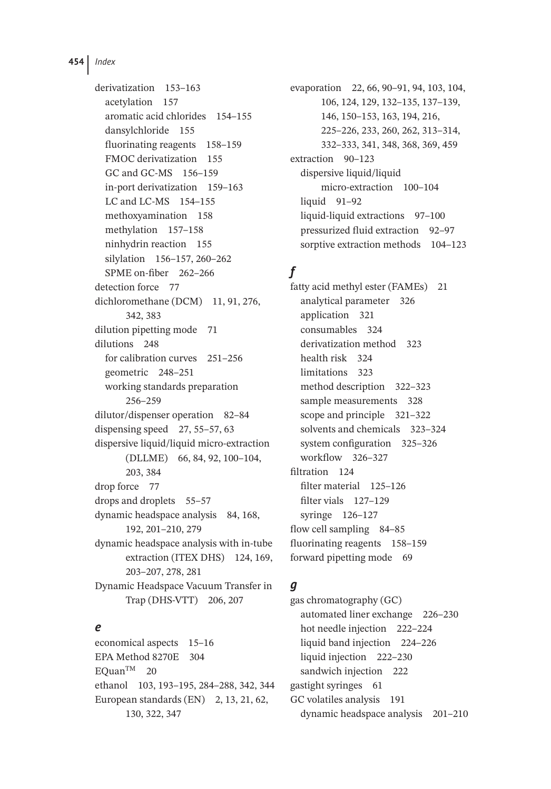**454** *Index*

derivatization 153–163 acetylation 157 aromatic acid chlorides 154–155 dansylchloride 155 fluorinating reagents 158–159 FMOC derivatization 155 GC and GC-MS 156–159 in-port derivatization 159–163 LC and LC-MS 154–155 methoxyamination 158 methylation 157–158 ninhydrin reaction 155 silylation 156–157, 260–262 SPME on-fiber 262–266 detection force 77 dichloromethane (DCM) 11, 91, 276, 342, 383 dilution pipetting mode 71 dilutions 248 for calibration curves 251–256 geometric 248–251 working standards preparation 256–259 dilutor/dispenser operation 82–84 dispensing speed 27, 55–57, 63 dispersive liquid/liquid micro-extraction (DLLME) 66, 84, 92, 100–104, 203, 384 drop force 77 drops and droplets 55–57 dynamic headspace analysis 84, 168, 192, 201–210, 279 dynamic headspace analysis with in-tube extraction (ITEX DHS) 124, 169, 203–207, 278, 281 Dynamic Headspace Vacuum Transfer in Trap (DHS-VTT) 206, 207

### *e*

economical aspects 15–16 EPA Method 8270E 304 EQuanTM 20 ethanol 103, 193–195, 284–288, 342, 344 European standards (EN) 2, 13, 21, 62, 130, 322, 347

evaporation 22, 66, 90–91, 94, 103, 104, 106, 124, 129, 132–135, 137–139, 146, 150–153, 163, 194, 216, 225–226, 233, 260, 262, 313–314, 332–333, 341, 348, 368, 369, 459 extraction 90–123 dispersive liquid/liquid micro-extraction 100–104 liquid 91-92 liquid-liquid extractions 97–100 pressurized fluid extraction 92–97 sorptive extraction methods 104–123

# *f*

fatty acid methyl ester (FAMEs) 21 analytical parameter 326 application 321 consumables 324 derivatization method 323 health risk 324 limitations 323 method description 322–323 sample measurements 328 scope and principle 321–322 solvents and chemicals 323–324 system configuration 325–326 workflow 326–327 filtration 124 filter material 125–126 filter vials 127–129 syringe 126–127 flow cell sampling 84–85 fluorinating reagents 158–159 forward pipetting mode 69

## *g*

gas chromatography (GC) automated liner exchange 226–230 hot needle injection 222–224 liquid band injection 224–226 liquid injection 222–230 sandwich injection 222 gastight syringes 61 GC volatiles analysis 191 dynamic headspace analysis 201–210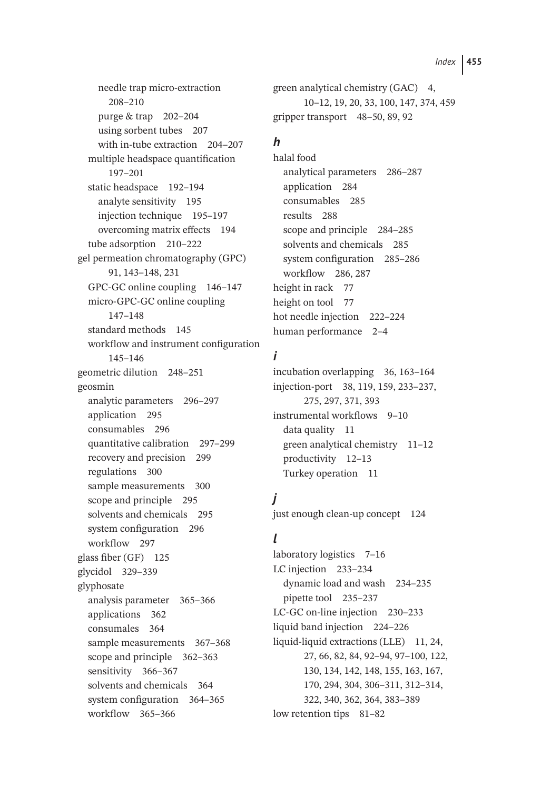needle trap micro-extraction 208–210 purge & trap 202–204 using sorbent tubes 207 with in-tube extraction 204–207 multiple headspace quantification 197–201 static headspace 192–194 analyte sensitivity 195 injection technique 195–197 overcoming matrix effects 194 tube adsorption 210–222 gel permeation chromatography (GPC) 91, 143–148, 231 GPC-GC online coupling 146–147 micro-GPC-GC online coupling 147–148 standard methods 145 workflow and instrument configuration 145–146 geometric dilution 248–251 geosmin analytic parameters 296–297 application 295 consumables 296 quantitative calibration 297–299 recovery and precision 299 regulations 300 sample measurements 300 scope and principle 295 solvents and chemicals 295 system configuration 296 workflow 297 glass fiber (GF) 125 glycidol 329–339 glyphosate analysis parameter 365–366 applications 362 consumales 364 sample measurements 367-368 scope and principle 362–363 sensitivity 366–367 solvents and chemicals 364 system configuration 364–365 workflow 365–366

green analytical chemistry (GAC) 4, 10–12, 19, 20, 33, 100, 147, 374, 459 gripper transport 48–50, 89, 92

## *h*

halal food analytical parameters 286–287 application 284 consumables 285 results 288 scope and principle 284–285 solvents and chemicals 285 system configuration 285–286 workflow 286, 287 height in rack 77 height on tool 77 hot needle injection 222–224 human performance 2–4

## *i*

incubation overlapping 36, 163–164 injection-port 38, 119, 159, 233–237, 275, 297, 371, 393 instrumental workflows 9–10 data quality 11 green analytical chemistry 11–12 productivity 12–13 Turkey operation 11

# *j*

just enough clean-up concept 124

## *l*

laboratory logistics 7–16 LC injection 233–234 dynamic load and wash 234–235 pipette tool 235–237 LC-GC on-line injection 230–233 liquid band injection 224–226 liquid-liquid extractions (LLE) 11, 24, 27, 66, 82, 84, 92–94, 97–100, 122, 130, 134, 142, 148, 155, 163, 167, 170, 294, 304, 306–311, 312–314, 322, 340, 362, 364, 383–389 low retention tips 81–82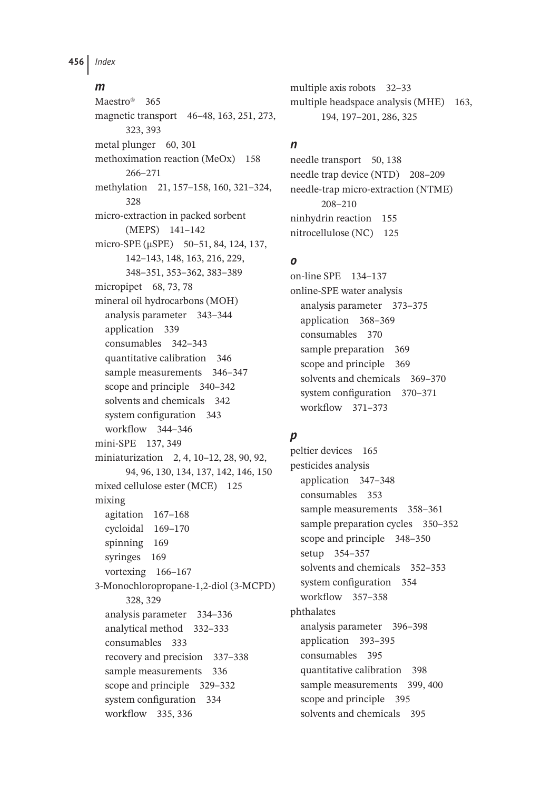**456** *Index*

#### *m*

Maestro® 365 magnetic transport 46–48, 163, 251, 273, 323, 393 metal plunger 60, 301 methoximation reaction (MeOx) 158 266–271 methylation 21, 157–158, 160, 321–324, 328 micro-extraction in packed sorbent (MEPS) 141–142 micro-SPE (μSPE) 50–51, 84, 124, 137, 142–143, 148, 163, 216, 229, 348–351, 353–362, 383–389 micropipet 68, 73, 78 mineral oil hydrocarbons (MOH) analysis parameter 343–344 application 339 consumables 342–343 quantitative calibration 346 sample measurements 346–347 scope and principle 340–342 solvents and chemicals 342 system configuration 343 workflow 344–346 mini-SPE 137, 349 miniaturization 2, 4, 10–12, 28, 90, 92, 94, 96, 130, 134, 137, 142, 146, 150 mixed cellulose ester (MCE) 125 mixing agitation 167–168 cycloidal 169–170 spinning 169 syringes 169 vortexing 166–167 3-Monochloropropane-1,2-diol (3-MCPD) 328, 329 analysis parameter 334–336 analytical method 332–333 consumables 333 recovery and precision 337–338 sample measurements 336 scope and principle 329–332 system configuration 334 workflow 335, 336

multiple axis robots 32–33 multiple headspace analysis (MHE) 163, 194, 197–201, 286, 325

## *n*

needle transport 50, 138 needle trap device (NTD) 208–209 needle-trap micro-extraction (NTME) 208–210 ninhydrin reaction 155 nitrocellulose (NC) 125

## *o*

on-line SPE 134–137 online-SPE water analysis analysis parameter 373–375 application 368–369 consumables 370 sample preparation 369 scope and principle 369 solvents and chemicals 369–370 system configuration 370–371 workflow 371–373

# *p*

peltier devices 165 pesticides analysis application 347–348 consumables 353 sample measurements 358-361 sample preparation cycles 350–352 scope and principle 348–350 setup 354–357 solvents and chemicals 352–353 system configuration 354 workflow 357–358 phthalates analysis parameter 396–398 application 393–395 consumables 395 quantitative calibration 398 sample measurements 399, 400 scope and principle 395 solvents and chemicals 395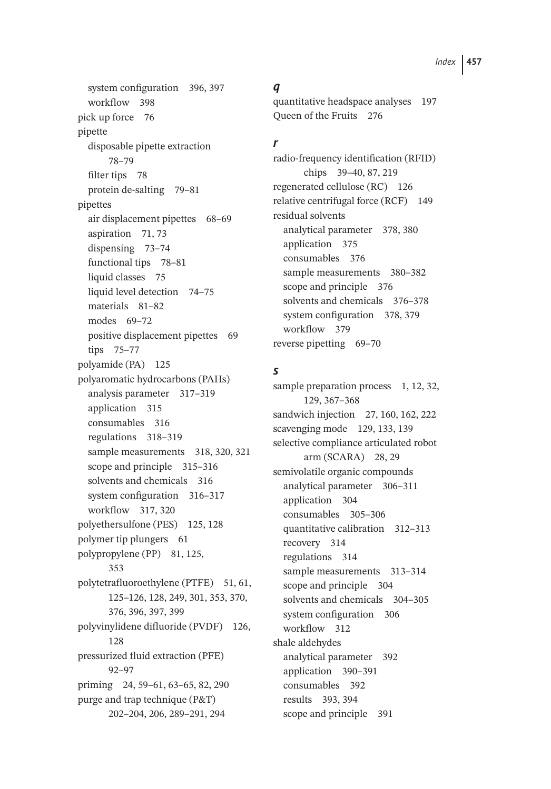system configuration 396, 397 workflow 398 pick up force 76 pipette disposable pipette extraction 78–79 filter tips 78 protein de-salting 79–81 pipettes air displacement pipettes 68–69 aspiration 71, 73 dispensing 73–74 functional tips 78–81 liquid classes 75 liquid level detection 74–75 materials 81–82 modes 69–72 positive displacement pipettes 69 tips 75–77 polyamide (PA) 125 polyaromatic hydrocarbons (PAHs) analysis parameter 317–319 application 315 consumables 316 regulations 318–319 sample measurements 318, 320, 321 scope and principle 315–316 solvents and chemicals 316 system configuration 316–317 workflow 317, 320 polyethersulfone (PES) 125, 128 polymer tip plungers 61 polypropylene (PP) 81, 125, 353 polytetrafluoroethylene (PTFE) 51, 61, 125–126, 128, 249, 301, 353, 370, 376, 396, 397, 399 polyvinylidene difluoride (PVDF) 126, 128 pressurized fluid extraction (PFE) 92–97 priming 24, 59–61, 63–65, 82, 290 purge and trap technique (P&T) 202–204, 206, 289–291, 294

#### *q*

quantitative headspace analyses 197 Queen of the Fruits 276

#### *r*

radio-frequency identification (RFID) chips 39–40, 87, 219 regenerated cellulose (RC) 126 relative centrifugal force (RCF) 149 residual solvents analytical parameter 378, 380 application 375 consumables 376 sample measurements 380–382 scope and principle 376 solvents and chemicals 376–378 system configuration 378, 379 workflow 379 reverse pipetting 69–70

## *s*

sample preparation process 1, 12, 32, 129, 367–368 sandwich injection 27, 160, 162, 222 scavenging mode 129, 133, 139 selective compliance articulated robot arm (SCARA) 28, 29 semivolatile organic compounds analytical parameter 306–311 application 304 consumables 305–306 quantitative calibration 312–313 recovery 314 regulations 314 sample measurements 313-314 scope and principle 304 solvents and chemicals 304–305 system configuration 306 workflow 312 shale aldehydes analytical parameter 392 application 390–391 consumables 392 results 393, 394 scope and principle 391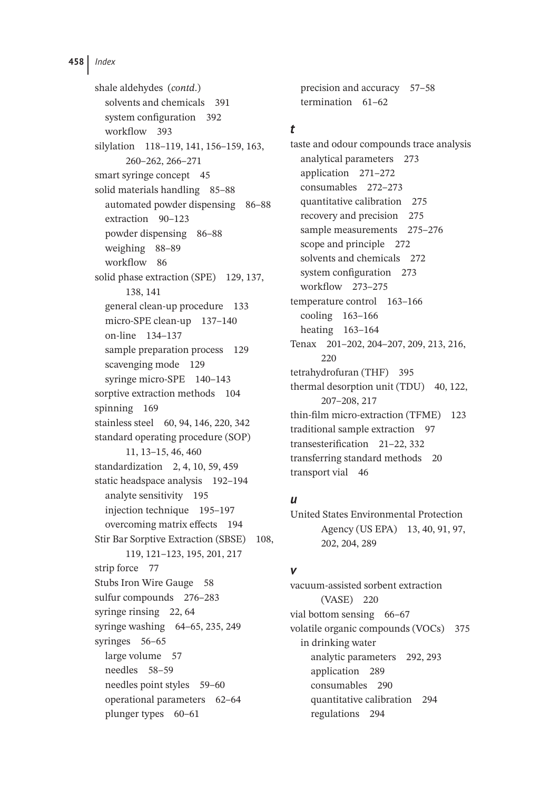shale aldehydes (*contd*.) solvents and chemicals 391 system configuration 392 workflow 393 silylation 118–119, 141, 156–159, 163, 260–262, 266–271 smart syringe concept 45 solid materials handling 85–88 automated powder dispensing 86–88 extraction 90–123 powder dispensing 86–88 weighing 88–89 workflow 86 solid phase extraction (SPE) 129, 137, 138, 141 general clean-up procedure 133 micro-SPE clean-up 137–140 on-line 134–137 sample preparation process 129 scavenging mode 129 syringe micro-SPE 140–143 sorptive extraction methods 104 spinning 169 stainless steel 60, 94, 146, 220, 342 standard operating procedure (SOP) 11, 13–15, 46, 460 standardization 2, 4, 10, 59, 459 static headspace analysis 192–194 analyte sensitivity 195 injection technique 195–197 overcoming matrix effects 194 Stir Bar Sorptive Extraction (SBSE) 108, 119, 121–123, 195, 201, 217 strip force 77 Stubs Iron Wire Gauge 58 sulfur compounds 276–283 syringe rinsing 22, 64 syringe washing 64–65, 235, 249 syringes 56–65 large volume 57 needles 58–59 needles point styles 59–60 operational parameters 62–64 plunger types 60–61

precision and accuracy 57–58 termination 61–62

#### *t*

taste and odour compounds trace analysis analytical parameters 273 application 271–272 consumables 272–273 quantitative calibration 275 recovery and precision 275 sample measurements 275–276 scope and principle 272 solvents and chemicals 272 system configuration 273 workflow 273–275 temperature control 163–166 cooling 163–166 heating 163–164 Tenax 201–202, 204–207, 209, 213, 216, 220 tetrahydrofuran (THF) 395 thermal desorption unit (TDU) 40, 122, 207–208, 217 thin-film micro-extraction (TFME) 123 traditional sample extraction 97 transesterification 21–22, 332 transferring standard methods 20 transport vial 46

### *u*

United States Environmental Protection Agency (US EPA) 13, 40, 91, 97, 202, 204, 289

### *v*

vacuum-assisted sorbent extraction (VASE) 220 vial bottom sensing 66-67 volatile organic compounds (VOCs) 375 in drinking water analytic parameters 292, 293 application 289 consumables 290 quantitative calibration 294 regulations 294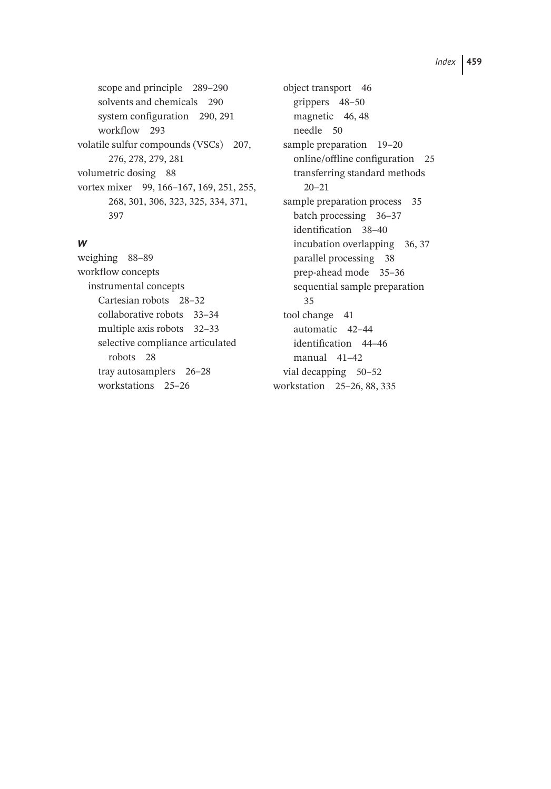scope and principle 289–290 solvents and chemicals 290 system configuration 290, 291 workflow 293 volatile sulfur compounds (VSCs) 207, 276, 278, 279, 281 volumetric dosing 88 vortex mixer 99, 166–167, 169, 251, 255, 268, 301, 306, 323, 325, 334, 371, 397

#### *w*

weighing 88–89 workflow concepts instrumental concepts Cartesian robots 28–32 collaborative robots 33–34 multiple axis robots 32–33 selective compliance articulated robots 28 tray autosamplers 26–28 workstations 25–26

object transport 46 grippers 48–50 magnetic 46, 48 needle 50 sample preparation 19–20 online/offline configuration 25 transferring standard methods 20–21 sample preparation process 35 batch processing 36–37 identification 38–40 incubation overlapping 36, 37 parallel processing 38 prep-ahead mode 35–36 sequential sample preparation 35 tool change 41 automatic 42–44 identification 44–46 manual 41–42 vial decapping 50–52 workstation 25–26, 88, 335